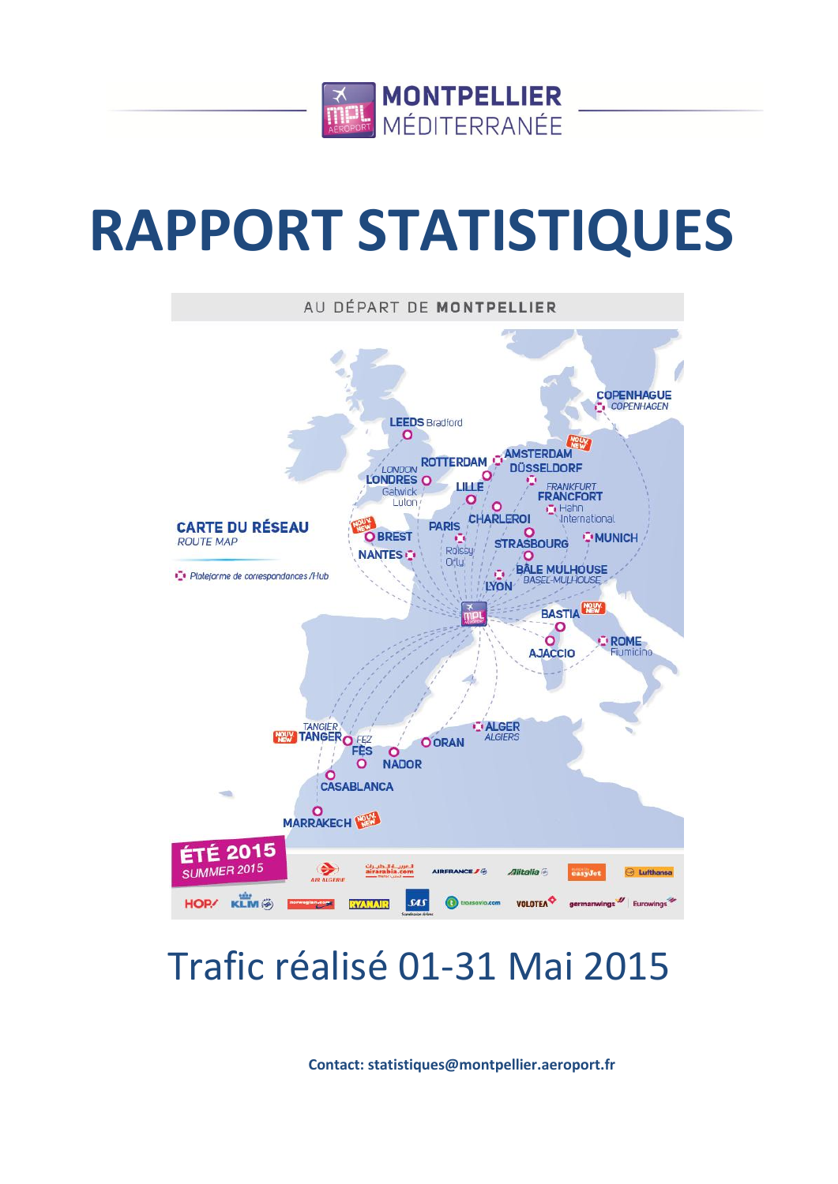

# **RAPPORT STATISTIQUES**



# Trafic réalisé 01-31 Mai 2015

**Contact: statistiques@montpellier.aeroport.fr**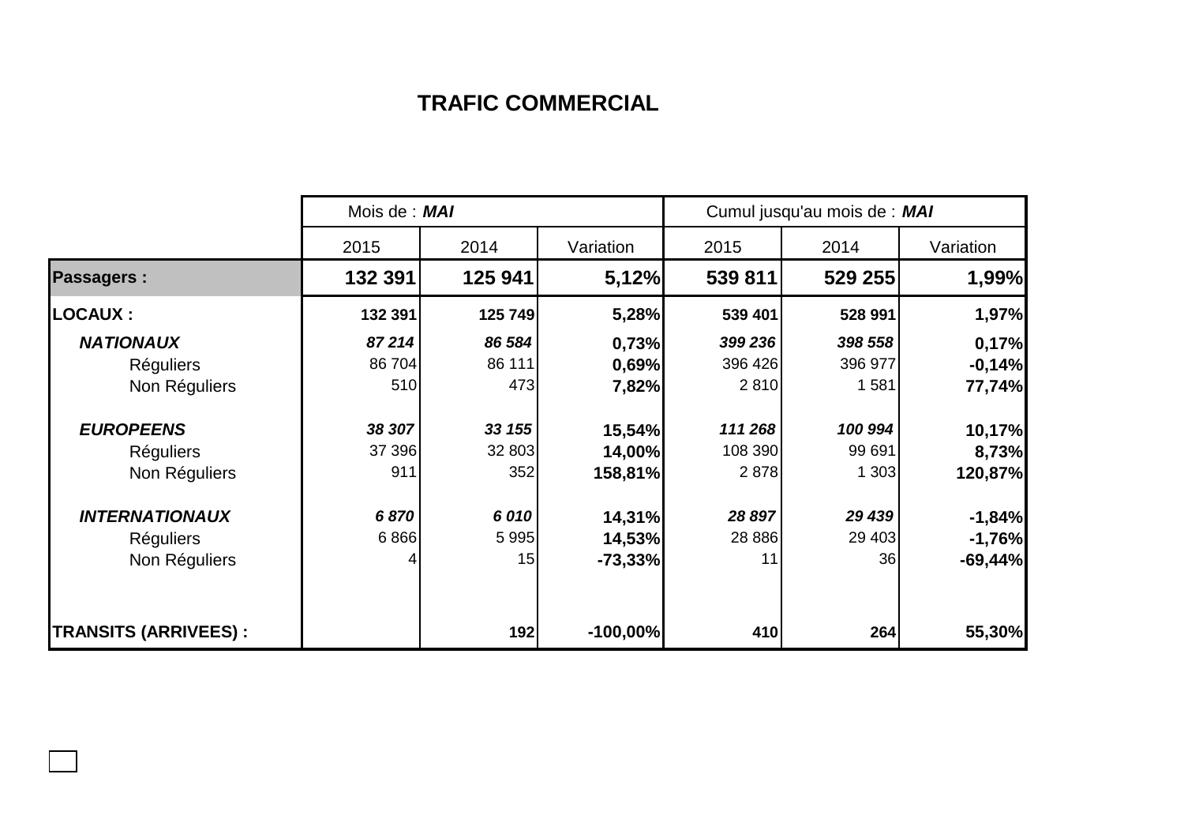## **TRAFIC COMMERCIAL**

|                             | Mois de : MAI |         |            | Cumul jusqu'au mois de : MAI |         |           |  |
|-----------------------------|---------------|---------|------------|------------------------------|---------|-----------|--|
|                             | 2015          | 2014    | Variation  | 2015                         | 2014    | Variation |  |
| <b>Passagers:</b>           | 132 391       | 125 941 | 5,12%      | 539 811                      | 529 255 | 1,99%     |  |
| <b>LOCAUX:</b>              | 132 391       | 125 749 | 5,28%      | 539 401                      | 528 991 | 1,97%     |  |
| <b>NATIONAUX</b>            | 87214         | 86 584  | 0,73%      | 399 236                      | 398 558 | 0,17%     |  |
| <b>Réguliers</b>            | 86 704        | 86 111  | 0,69%      | 396 426                      | 396 977 | $-0,14%$  |  |
| Non Réguliers               | 510           | 473     | 7,82%      | 2810                         | 1581    | 77,74%    |  |
| <b>EUROPEENS</b>            | 38 307        | 33 155  | 15,54%     | 111 268                      | 100 994 | 10,17%    |  |
| <b>Réguliers</b>            | 37 396        | 32 803  | 14,00%     | 108 390                      | 99 691  | 8,73%     |  |
| Non Réguliers               | 911           | 352     | 158,81%    | 2878                         | 1 303   | 120,87%   |  |
| <b>INTERNATIONAUX</b>       | 6870          | 6010    | 14,31%     | 28 897                       | 29 439  | $-1,84%$  |  |
| <b>Réguliers</b>            | 6866          | 5 9 9 5 | 14,53%     | 28 8 86                      | 29 4 03 | $-1,76%$  |  |
| Non Réguliers               |               | 15      | $-73,33%$  | 11                           | 36      | $-69,44%$ |  |
| <b>TRANSITS (ARRIVEES):</b> |               | 192     | $-100,00%$ | 410                          | 264     | 55,30%    |  |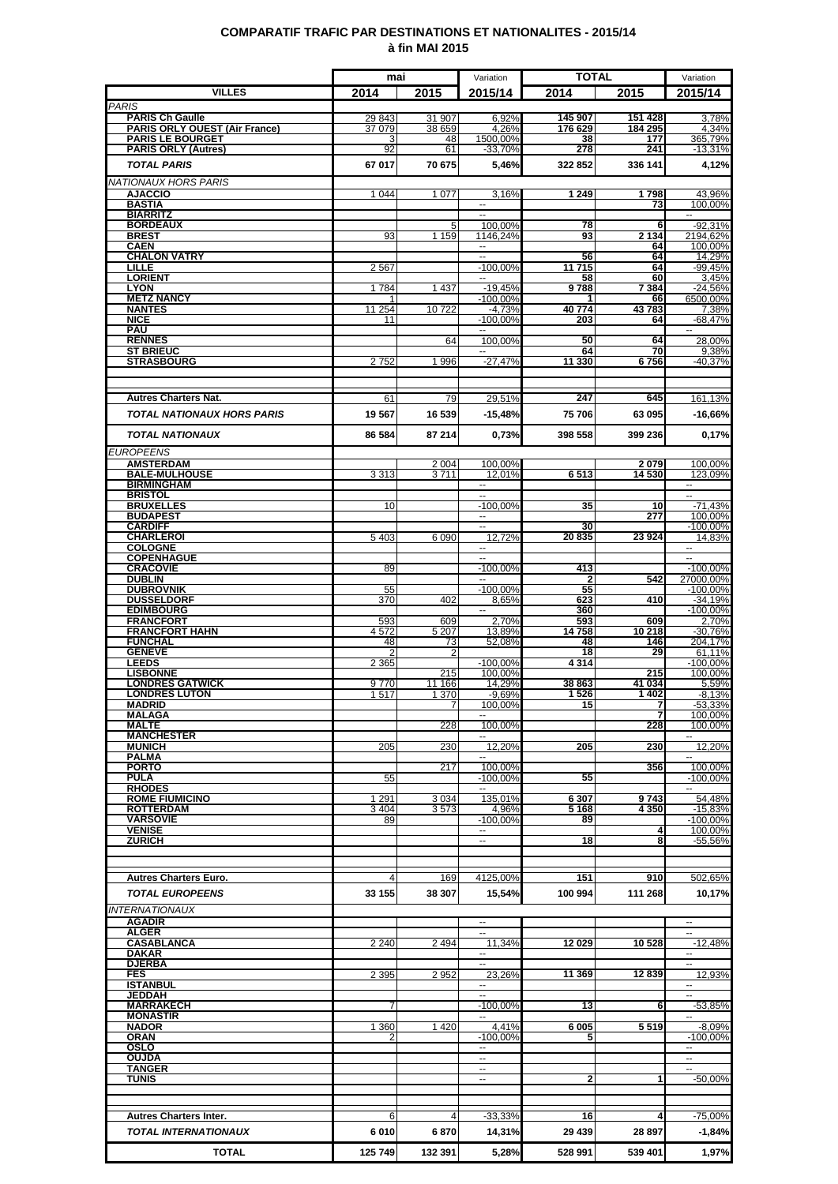### **COMPARATIF TRAFIC PAR DESTINATIONS ET NATIONALITES - 2015/14 à fin MAI 2015**

|                                                       | mai             |                 | Variation                      | <b>TOTAL</b>     |                 | Variation                              |
|-------------------------------------------------------|-----------------|-----------------|--------------------------------|------------------|-----------------|----------------------------------------|
| <b>VILLES</b>                                         | 2014            | 2015            | 2015/14                        | 2014             | 2015            | 2015/14                                |
| <b>PARIS</b><br><b>PARIS Ch Gaulle</b>                | 29 843          | 31 907          | 6,92%                          | 145 907          | 151 428         | 3,78%                                  |
| <b>PARIS ORLY OUEST (Air France)</b>                  | 37 079          | 38 659          | 4.26%                          | 176 629          | 184 295         | 4,34%                                  |
| <b>PARIS LE BOURGET</b><br><b>PARIS ORLY (Autres)</b> | З<br>92         | 48<br>61        | 1500,00%<br>-33,70%            | 38<br>278        | 177<br>241      | 365.79%<br>$-13,31%$                   |
| <b>TOTAL PARIS</b>                                    | 67017           | 70 675          | 5,46%                          | 322 852          | 336 141         | 4,12%                                  |
| <b>NATIONAUX HORS PARIS</b>                           |                 |                 |                                |                  |                 |                                        |
| <b>AJACCIO</b>                                        | 1 0 4 4         | 1 0 7 7         | 3.16%                          | 1 2 4 9          | 1798            | 43,96%                                 |
| <b>BASTIA</b><br><b>BIARRITZ</b>                      |                 |                 | $\sim$<br>$\overline{a}$       |                  | 73              | 100,00%<br>$\overline{\phantom{a}}$    |
| <b>BORDEAUX</b>                                       |                 | 5               | 100,00%                        | 78               | 6               | $-92.31%$                              |
| <b>BREST</b><br><b>CAEN</b>                           | 93              | 1 1 5 9         | 1146,24%<br>$\sim$             | 93               | 2 134<br>64     | 2194.62%<br>100.00%                    |
| <b>CHALON VATRY</b>                                   |                 |                 | ц.                             | 56               | 64              | 14,29%                                 |
| LILLE<br><b>LORIENT</b>                               | 2 5 6 7         |                 | $-100,00%$<br>−−               | 11715<br>58      | 64<br>60        | $-99,45%$<br>3,45%                     |
| <b>LYON</b>                                           | 1784            | 1 4 3 7         | $-19,45%$                      | 9788             | 7384            | $-24,56%$                              |
| <b>METZ NANCY</b><br><b>NANTES</b>                    | 11 254          | 10722           | $-100,00%$<br>$-4,73%$         | 1<br>40774       | 66<br>43783     | 6500,00%<br>7,38%                      |
| <b>NICE</b>                                           | 11              |                 | $-100,00%$                     | 203              | 64              | $-68,47%$                              |
| <b>PAU</b><br><b>RENNES</b>                           |                 | 64              | 100,00%                        | 50               | 64              | 28,00%                                 |
| <b>ST BRIEUC</b>                                      |                 |                 |                                | 64               | 70              | 9,38%                                  |
| <b>STRASBOURG</b>                                     | 2752            | 1996            | $-27,47%$                      | 11 330           | 6756            | $-40.37%$                              |
|                                                       |                 |                 |                                |                  |                 |                                        |
| <b>Autres Charters Nat.</b>                           | 61              | 79              | 29,51%                         | 247              | 645             | 161,13%                                |
| <b>TOTAL NATIONAUX HORS PARIS</b>                     | 19 567          | 16 539          | -15,48%                        | 75706            | 63 095          | -16,66%                                |
| <b>TOTAL NATIONAUX</b>                                | 86 584          | 87 214          | 0,73%                          | 398 558          | 399 236         | 0,17%                                  |
| <b>EUROPEENS</b>                                      |                 |                 |                                |                  |                 |                                        |
| <b>AMSTERDAM</b>                                      |                 | 2 0 0 4         | 100.00%                        |                  | 2079            | 100.00%                                |
| <b>BALE-MULHOUSE</b><br><b>BIRMINGHAM</b>             | 3 3 1 3         | 3711            | 12.01%<br>н.                   | 6513             | 14 530          | 123.09%<br>−−                          |
| <b>BRISTOL</b>                                        |                 |                 | $\sim$                         |                  |                 | $\overline{a}$                         |
| <b>BRUXELLES</b><br><b>BUDAPEST</b>                   | 10              |                 | $-100,00%$<br>$\sim$           | 35               | 10<br>277       | $-71,43%$<br>100,00%                   |
| <b>CARDIFF</b>                                        |                 |                 | н.                             | 30               |                 | -100,00%                               |
| <b>CHARLEROI</b><br><b>COLOGNE</b>                    | 5403            | 6 0 9 0         | 12.72%<br>--                   | 20835            | 23 9 24         | 14,83%                                 |
| <b>COPENHAGUE</b>                                     |                 |                 |                                |                  |                 | ۰.                                     |
| <b>CRACOVIE</b><br><b>DUBLIN</b>                      | 89              |                 | $-100,00%$                     | 413              | 542             | $-100,00\%$<br>27000,00%               |
| <b>DUBROVNIK</b>                                      | 55              |                 | $-100,00%$                     | 55               |                 | $-100,00%$                             |
| <b>DUSSELDORF</b><br><b>EDIMBOURG</b>                 | 370             | 402             | 8.65%                          | 623              | 410             | $-34,19%$<br>$-100,00%$                |
| <b>FRANCFORT</b>                                      | 593             | 609             | $\sim$<br>2,70%                | 360<br>593       | 609             | 2,70%                                  |
| <b>FRANCFORT HAHN</b><br><b>FUNCHAL</b>               | 4572            | 5 207           | 13,89%                         | 14758            | 10 218          | $-30,76%$<br>204.17%                   |
| <b>GENEVE</b>                                         | 48              | 73              | 52,08%                         | 48<br>18         | 146<br>29       | 61,11%                                 |
| <b>LEEDS</b><br><b>LISBONNE</b>                       | 2 3 6 5         |                 | $-100,00%$                     | 4 3 1 4          | 215             | $-100,00%$                             |
| <b>LONDRES GATWICK</b>                                | 9770            | 215<br>11 166   | 100,00%<br>14,29%              | 38 863           | 41 034          | 100,00%<br>5,59%                       |
| <b>LONDRES LUTON</b>                                  | 1517            | 1 370           | $-9,69%$                       | 1526             | 1402            | $-8,13%$                               |
| <b>MADRID</b><br><b>MALAGA</b>                        |                 | 7               | 100,00%                        | 15               | 7<br>7          | $-53,33%$<br>100,00%                   |
| <b>MALTE</b><br><b>MANCHESTER</b>                     |                 | 228             | 100,00%                        |                  | 228             | 100,00%                                |
| <b>MUNICH</b>                                         | 205             | 230             | 12,20%                         | 205              | 230             | 12,20%                                 |
| <b>PALMA</b>                                          |                 |                 |                                |                  |                 |                                        |
| <b>PORTO</b><br><b>PULA</b>                           | 55              | 217             | 100,00%<br>$-100,00%$          | 55               | 356             | 100,00%<br>$-100,00%$                  |
| <b>RHODES</b>                                         |                 |                 | $\sim$                         |                  |                 | $\sim$                                 |
| <b>ROME FIUMICINO</b><br><b>ROTTERDAM</b>             | 1 2 9 1<br>3404 | 3 0 3 4<br>3573 | 135,01%<br>4,96%               | 6 3 0 7<br>5 168 | 9743<br>4 3 5 0 | 54,48%<br>$-15,83%$                    |
| <b>VARSOVIE</b>                                       | 89              |                 | $-100,00%$                     | 89               |                 | $-100,00%$                             |
| <b>VENISE</b><br><b>ZURICH</b>                        |                 |                 | ⊶.<br>$\overline{\phantom{a}}$ | 18               | 4<br>8          | 100,00%<br>$-55,56%$                   |
|                                                       |                 |                 |                                |                  |                 |                                        |
|                                                       |                 |                 |                                |                  |                 |                                        |
| <b>Autres Charters Euro.</b>                          | 4               | 169             | 4125,00%                       | 151              | 910             | 502,65%                                |
| <b>TOTAL EUROPEENS</b>                                | 33 155          | 38 307          | 15,54%                         | 100 994          | 111 268         | 10,17%                                 |
| <b>INTERNATIONAUX</b><br><b>AGADIR</b>                |                 |                 | --                             |                  |                 |                                        |
| <b>ALGER</b>                                          |                 |                 | ł                              |                  |                 | $\sim$                                 |
| <b>CASABLANCA</b><br><b>DAKAR</b>                     | 2 2 4 0         | 2 4 9 4         | 11,34%<br>⊷                    | 12 0 29          | 10 528          | $-12,48%$<br>$\sim$                    |
| <b>DJERBA</b>                                         |                 |                 | $\overline{a}$                 |                  |                 |                                        |
| <b>FES</b><br><b>ISTANBUL</b>                         | 2 3 9 5         | 2 9 5 2         | 23.26%<br>$\overline{a}$       | 11 369           | 12839           | 12,93%                                 |
| <b>JEDDAH</b>                                         |                 |                 | -−                             |                  |                 | $\overline{\phantom{a}}$               |
| <b>MARRAKECH</b><br><b>MONASTIR</b>                   | 7               |                 | $-100,00%$<br>н.               | 13               | 6               | $-53,85%$<br>$\sim$                    |
| <b>NADOR</b>                                          | 1 3 6 0         | 1 4 2 0         | 4,41%                          | 6005             | 5519            | $-8,09%$                               |
| <b>ORAN</b><br><b>OSLO</b>                            |                 |                 | $-100,00%$<br>$\sim$           | 51               |                 | $-100,00%$<br>$\overline{\phantom{a}}$ |
| OUJDA                                                 |                 |                 | ۰.                             |                  |                 | ۰.                                     |
| <b>TANGER</b><br><b>TUNIS</b>                         |                 |                 | $\overline{\phantom{a}}$<br>⊶. | $\mathbf{2}$     |                 | $-50,00%$                              |
|                                                       |                 |                 |                                |                  |                 |                                        |
|                                                       |                 |                 |                                |                  |                 |                                        |
| <b>Autres Charters Inter.</b>                         | 6               | 4               | $-33,33%$                      | 16               | 4               | $-75,00\%$                             |
| TOTAL INTERNATIONAUX                                  | 6010            | 6870            | 14,31%                         | 29 439           | 28 897          | $-1,84%$                               |
| <b>TOTAL</b>                                          | 125 749         | 132 391         | 5,28%                          | 528 991          | 539 401         | 1,97%                                  |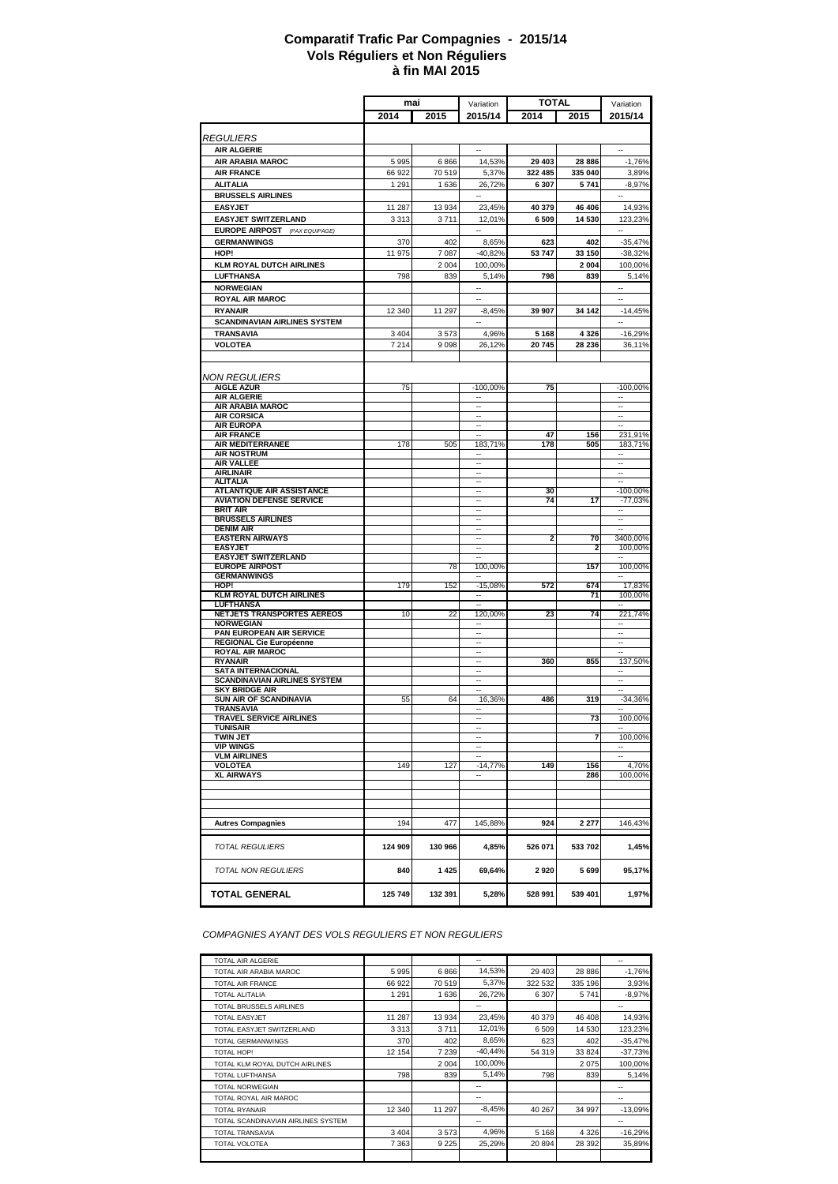#### **à fin MAI 2015 Comparatif Trafic Par Compagnies - 2015/14 Vols Réguliers et Non Réguliers**

|                                                            |         | mai     |                          | <b>TOTAL</b> |         |                          |
|------------------------------------------------------------|---------|---------|--------------------------|--------------|---------|--------------------------|
|                                                            |         |         | Variation                |              |         | Variation                |
|                                                            | 2014    | 2015    | 2015/14                  | 2014         | 2015    | 2015/14                  |
|                                                            |         |         |                          |              |         |                          |
| <b>REGULIERS</b>                                           |         |         |                          |              |         |                          |
| <b>AIR ALGERIE</b>                                         |         |         | ÷.                       |              |         | $\sim$                   |
| <b>AIR ARABIA MAROC</b>                                    | 5 9 9 5 | 6866    | 14,53%                   | 29 4 03      | 28 886  | $-1,76%$                 |
| <b>AIR FRANCE</b>                                          | 66 922  | 70 519  | 5,37%                    | 322 485      | 335 040 | 3,89%                    |
| <b>ALITALIA</b>                                            | 1 2 9 1 | 1636    | 26,72%                   | 6307         | 5741    | $-8,97%$                 |
| <b>BRUSSELS AIRLINES</b>                                   |         |         |                          |              |         | ٠.                       |
| <b>EASYJET</b>                                             | 11 287  | 13 934  | 23,45%                   | 40 379       | 46 406  | 14,93%                   |
| <b>EASYJET SWITZERLAND</b>                                 | 3 3 1 3 | 3711    | 12,01%                   | 6 5 0 9      | 14 530  | 123,23%                  |
| <b>EUROPE AIRPOST</b> (PAX EQUIPAGE)                       |         |         | $\sim$                   |              |         | $\sim$                   |
| <b>GERMANWINGS</b>                                         | 370     | 402     | 8.65%                    | 623          | 402     | $-35,47%$                |
| HOP!                                                       | 11 975  | 7 0 8 7 | $-40,82%$                | 53 747       | 33 150  | $-38,32%$                |
| <b>KLM ROYAL DUTCH AIRLINES</b>                            |         | 2 0 0 4 | 100,00%                  |              | 2 0 0 4 | 100,00%                  |
| <b>LUFTHANSA</b>                                           | 798     | 839     | 5,14%                    | 798          | 839     | 5,14%                    |
| <b>NORWEGIAN</b>                                           |         |         | $\overline{\phantom{a}}$ |              |         | $\overline{\phantom{a}}$ |
| <b>ROYAL AIR MAROC</b>                                     |         |         |                          |              |         |                          |
| <b>RYANAIR</b>                                             |         |         |                          |              |         |                          |
|                                                            | 12 340  | 11 297  | $-8,45%$                 | 39 907       | 34 142  | $-14,45%$                |
| <b>SCANDINAVIAN AIRLINES SYSTEM</b>                        |         |         |                          |              |         | ۰.                       |
| <b>TRANSAVIA</b>                                           | 3 4 0 4 | 3573    | 4,96%                    | 5 1 6 8      | 4 3 2 6 | $-16,29%$                |
| <b>VOLOTEA</b>                                             | 7 2 1 4 | 9 0 9 8 | 26,12%                   | 20745        | 28 236  | 36,11%                   |
|                                                            |         |         |                          |              |         |                          |
|                                                            |         |         |                          |              |         |                          |
| <b>NON REGULIERS</b>                                       |         |         |                          |              |         |                          |
| <b>AIGLE AZUR</b>                                          | 75      |         | $-100,00%$               | 75           |         | $-100,00%$               |
| <b>AIR ALGERIE</b><br><b>AIR ARABIA MAROC</b>              |         |         | 4<br>н.                  |              |         | ٠.<br>۰.                 |
| <b>AIR CORSICA</b>                                         |         |         | ٠.                       |              |         | ٠.                       |
| <b>AIR EUROPA</b>                                          |         |         | $\overline{\phantom{a}}$ |              |         |                          |
| <b>AIR FRANCE</b>                                          |         |         |                          | 47           | 156     | 231,91%                  |
| <b>AIR MEDITERRANEE</b>                                    | 178     | 505     | 183,71%                  | 178          | 505     | 183,71%                  |
| <b>AIR NOSTRUM</b>                                         |         |         |                          |              |         |                          |
| <b>AIR VALLEE</b>                                          |         |         | ٠.                       |              |         | ٠.                       |
| <b>AIRLINAIR</b>                                           |         |         | $\overline{\phantom{a}}$ |              |         | $\overline{\phantom{a}}$ |
| <b>ALITALIA</b><br><b>ATLANTIQUE AIR ASSISTANCE</b>        |         |         | н.                       | 30           |         | $-100,00%$               |
| <b>AVIATION DEFENSE SERVICE</b>                            |         |         | $\overline{\phantom{a}}$ | 74           | 17      | $-77,03%$                |
| <b>BRIT AIR</b>                                            |         |         |                          |              |         | н.                       |
| <b>BRUSSELS AIRLINES</b>                                   |         |         | $\overline{\phantom{a}}$ |              |         | $\overline{\phantom{a}}$ |
| <b>DENIM AIR</b>                                           |         |         |                          |              |         |                          |
| <b>EASTERN AIRWAYS</b>                                     |         |         | ٠.                       | 2            | 70      | 3400,00%                 |
| <b>EASYJET</b><br><b>EASYJET SWITZERLAND</b>               |         |         | $\sim$                   |              |         | 100,00%                  |
| <b>EUROPE AIRPOST</b>                                      |         | 78      | 100,00%                  |              | 157     | 100,00%                  |
| <b>GERMANWINGS</b>                                         |         |         |                          |              |         |                          |
| HOP!                                                       | 179     | 152     | $-15,08%$                | 572          | 674     | 17,83%                   |
| <b>KLM ROYAL DUTCH AIRLINES</b>                            |         |         | ۰.                       |              | 71      | 100,00%                  |
| <b>LUFTHANSA</b>                                           |         |         | ÷.                       |              |         | ۰.                       |
| NETJETS TRANSPORTES AEREOS                                 | 10      | 22      | 120,00%                  | 23           | 74      | 221,74%                  |
| <b>NORWEGIAN</b>                                           |         |         |                          |              |         |                          |
| PAN EUROPEAN AIR SERVICE<br><b>REGIONAL Cie Européenne</b> |         |         | ٠.<br>н.                 |              |         | --<br>$\ddotsc$          |
| <b>ROYAL AIR MAROC</b>                                     |         |         | ÷.                       |              |         | ä,                       |
| <b>RYANAIR</b>                                             |         |         | ÷.                       | 360          | 855     | 137,50%                  |
| <b>SATA INTERNACIONAL</b>                                  |         |         |                          |              |         |                          |
| <b>SCANDINAVIAN AIRLINES SYSTEM</b>                        |         |         | $\overline{\phantom{a}}$ |              |         | ۰.                       |
| <b>SKY BRIDGE AIR</b>                                      |         |         |                          |              |         |                          |
| <b>SUN AIR OF SCANDINAVIA</b>                              | 55      | 64      | 16,36%                   | 486          | 319     | $-34,36%$                |
| <b>TRANSAVIA</b><br><b>TRAVEL SERVICE AIRLINES</b>         |         |         | $\overline{\phantom{a}}$ |              | 73      | 100,00%                  |
| TUNISAIR                                                   |         |         |                          |              |         |                          |
| TWIN JET                                                   |         |         |                          |              |         | 100,00%                  |
| <b>VIP WINGS</b>                                           |         |         |                          |              |         | ÷                        |
| <b>VLM AIRLINES</b>                                        |         |         | ۰.                       |              |         | ۰.                       |
| <b>VOLOTEA</b>                                             | 149     | 127     | $-14,77%$                | 149          | 156     | 4,70%                    |
| <b>XL AIRWAYS</b>                                          |         |         |                          |              | 286     | 100,00%                  |
|                                                            |         |         |                          |              |         |                          |
|                                                            |         |         |                          |              |         |                          |
|                                                            |         |         |                          |              |         |                          |
| <b>Autres Compagnies</b>                                   | 194     | 477     | 145,88%                  | 924          | 2 2 7 7 | 146,43%                  |
|                                                            |         |         |                          |              |         |                          |
| <b>TOTAL REGULIERS</b>                                     | 124 909 | 130 966 | 4,85%                    | 526 071      |         | 1,45%                    |
|                                                            |         |         |                          |              | 533 702 |                          |
|                                                            |         |         |                          |              |         |                          |
| TOTAL NON REGULIERS                                        | 840     | 1425    | 69,64%                   | 2920         | 5 6 9 9 | 95,17%                   |
|                                                            |         |         |                          |              |         |                          |
| <b>TOTAL GENERAL</b>                                       | 125 749 | 132 391 | 5,28%                    | 528 991      | 539 401 | 1,97%                    |
|                                                            |         |         |                          |              |         |                          |

*COMPAGNIES AYANT DES VOLS REGULIERS ET NON REGULIERS*

| TOTAL AIR ALGERIE                  |         |         | --        |         |          | --        |
|------------------------------------|---------|---------|-----------|---------|----------|-----------|
| TOTAL AIR ARABIA MAROC             | 5995    | 6866    | 14.53%    | 29 4 03 | 28 8 8 6 | $-1,76%$  |
| <b>TOTAL AIR FRANCE</b>            | 66 922  | 70 519  | 5.37%     | 322 532 | 335 196  | 3,93%     |
| <b>TOTAL ALITALIA</b>              | 1 2 9 1 | 1 636   | 26,72%    | 6 3 0 7 | 5741     | $-8,97%$  |
| TOTAL BRUSSELS AIRLINES            |         |         | --        |         |          | --        |
| <b>TOTAL EASYJET</b>               | 11 287  | 13 934  | 23,45%    | 40 379  | 46 408   | 14,93%    |
| TOTAL EASYJET SWITZERLAND          | 3 3 1 3 | 3711    | 12.01%    | 6 509   | 14 530   | 123,23%   |
| <b>TOTAL GERMANWINGS</b>           | 370     | 402     | 8,65%     | 623     | 402      | $-35,47%$ |
| <b>TOTAL HOP!</b>                  | 12 154  | 7 2 3 9 | $-40.44%$ | 54 319  | 33 824   | $-37.73%$ |
| TOTAL KLM ROYAL DUTCH AIRLINES     |         | 2 0 0 4 | 100.00%   |         | 2075     | 100,00%   |
| <b>TOTAL LUFTHANSA</b>             | 798     | 839     | 5.14%     | 798     | 839      | 5,14%     |
| <b>TOTAL NORWEGIAN</b>             |         |         | --        |         |          | --        |
| TOTAL ROYAL AIR MAROC              |         |         | --        |         |          | --        |
| <b>TOTAL RYANAIR</b>               | 12 340  | 11 297  | $-8.45%$  | 40 267  | 34 997   | $-13,09%$ |
| TOTAL SCANDINAVIAN AIRLINES SYSTEM |         |         | ۰.        |         |          | --        |
| <b>TOTAL TRANSAVIA</b>             | 3 4 0 4 | 3 5 7 3 | 4.96%     | 5 1 6 8 | 4 3 2 6  | $-16,29%$ |
| <b>TOTAL VOLOTEA</b>               | 7 3 6 3 | 9 2 2 5 | 25,29%    | 20894   | 28 3 9 2 | 35,89%    |
|                                    |         |         |           |         |          |           |